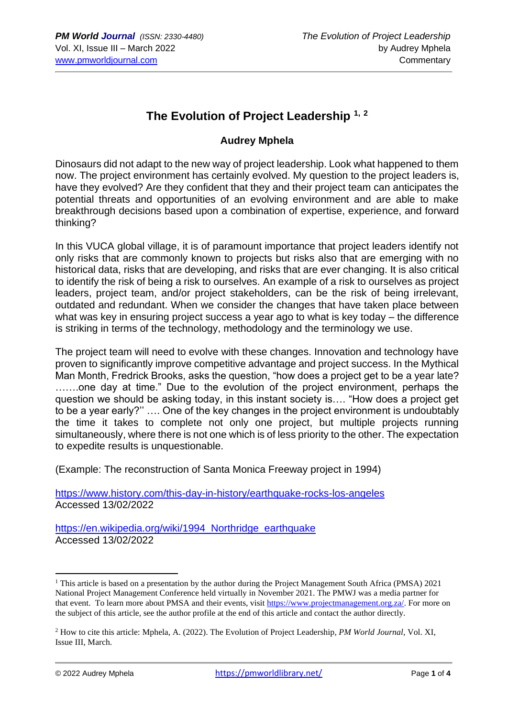## **The Evolution of Project Leadership 1, <sup>2</sup>**

## **Audrey Mphela**

Dinosaurs did not adapt to the new way of project leadership. Look what happened to them now. The project environment has certainly evolved. My question to the project leaders is, have they evolved? Are they confident that they and their project team can anticipates the potential threats and opportunities of an evolving environment and are able to make breakthrough decisions based upon a combination of expertise, experience, and forward thinking?

In this VUCA global village, it is of paramount importance that project leaders identify not only risks that are commonly known to projects but risks also that are emerging with no historical data, risks that are developing, and risks that are ever changing. It is also critical to identify the risk of being a risk to ourselves. An example of a risk to ourselves as project leaders, project team, and/or project stakeholders, can be the risk of being irrelevant, outdated and redundant. When we consider the changes that have taken place between what was key in ensuring project success a year ago to what is key today – the difference is striking in terms of the technology, methodology and the terminology we use.

The project team will need to evolve with these changes. Innovation and technology have proven to significantly improve competitive advantage and project success. In the Mythical Man Month, Fredrick Brooks, asks the question, "how does a project get to be a year late? …….one day at time." Due to the evolution of the project environment, perhaps the question we should be asking today, in this instant society is…. "How does a project get to be a year early?'' …. One of the key changes in the project environment is undoubtably the time it takes to complete not only one project, but multiple projects running simultaneously, where there is not one which is of less priority to the other. The expectation to expedite results is unquestionable.

(Example: The reconstruction of Santa Monica Freeway project in 1994)

<https://www.history.com/this-day-in-history/earthquake-rocks-los-angeles> Accessed 13/02/2022

https://en.wikipedia.org/wiki/1994 Northridge earthquake Accessed 13/02/2022

<sup>&</sup>lt;sup>1</sup> This article is based on a presentation by the author during the Project Management South Africa (PMSA)  $2021$ National Project Management Conference held virtually in November 2021. The PMWJ was a media partner for that event. To learn more about PMSA and their events, visit [https://www.projectmanagement.org.za/.](https://www.projectmanagement.org.za/) For more on the subject of this article, see the author profile at the end of this article and contact the author directly.

<sup>2</sup> How to cite this article: Mphela, A. (2022). The Evolution of Project Leadership, *PM World Journal*, Vol. XI, Issue III, March.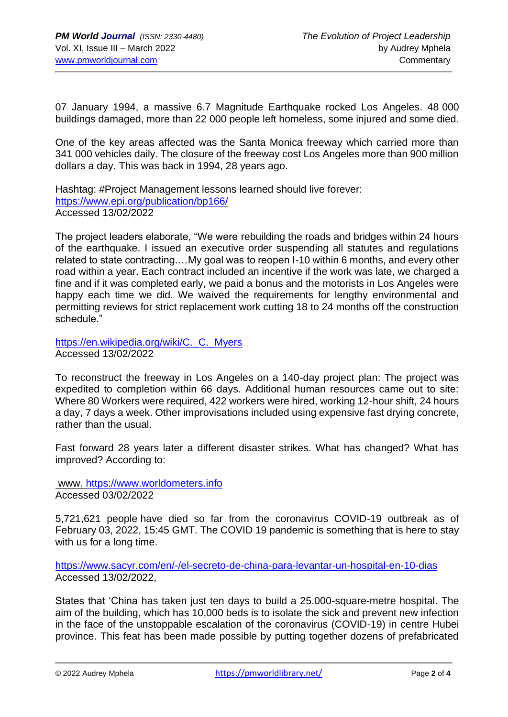07 January 1994, a massive 6.7 Magnitude Earthquake rocked Los Angeles. 48 000 buildings damaged, more than 22 000 people left homeless, some injured and some died.

One of the key areas affected was the Santa Monica freeway which carried more than 341 000 vehicles daily. The closure of the freeway cost Los Angeles more than 900 million dollars a day. This was back in 1994, 28 years ago.

Hashtag: #Project Management lessons learned should live forever: <https://www.epi.org/publication/bp166/> Accessed 13/02/2022

The project leaders elaborate, "We were rebuilding the roads and bridges within 24 hours of the earthquake. I issued an executive order suspending all statutes and regulations related to state contracting.…My goal was to reopen I-10 within 6 months, and every other road within a year. Each contract included an incentive if the work was late, we charged a fine and if it was completed early, we paid a bonus and the motorists in Los Angeles were happy each time we did. We waived the requirements for lengthy environmental and permitting reviews for strict replacement work cutting 18 to 24 months off the construction schedule."

[https://en.wikipedia.org/wiki/C.\\_C.\\_Myers](https://en.wikipedia.org/wiki/C._C._Myers) Accessed 13/02/2022

To reconstruct the freeway in Los Angeles on a 140-day project plan: The project was expedited to completion within 66 days. Additional human resources came out to site: Where 80 Workers were required, 422 workers were hired, working 12-hour shift, 24 hours a day, 7 days a week. Other improvisations included using expensive fast drying concrete, rather than the usual.

Fast forward 28 years later a different disaster strikes. What has changed? What has improved? According to:

www. [https://www.worldometers.info](https://www.worldometers.info/)  Accessed 03/02/2022

5,721,621 people have died so far from the coronavirus COVID-19 outbreak as of February 03, 2022, 15:45 GMT. The COVID 19 pandemic is something that is here to stay with us for a long time.

<https://www.sacyr.com/en/-/el-secreto-de-china-para-levantar-un-hospital-en-10-dias> Accessed 13/02/2022,

States that 'China has taken just ten days to build a 25.000-square-metre hospital. The aim of the building, which has 10,000 beds is to isolate the sick and prevent new infection in the face of the unstoppable escalation of the coronavirus (COVID-19) in centre Hubei province. This feat has been made possible by putting together dozens of prefabricated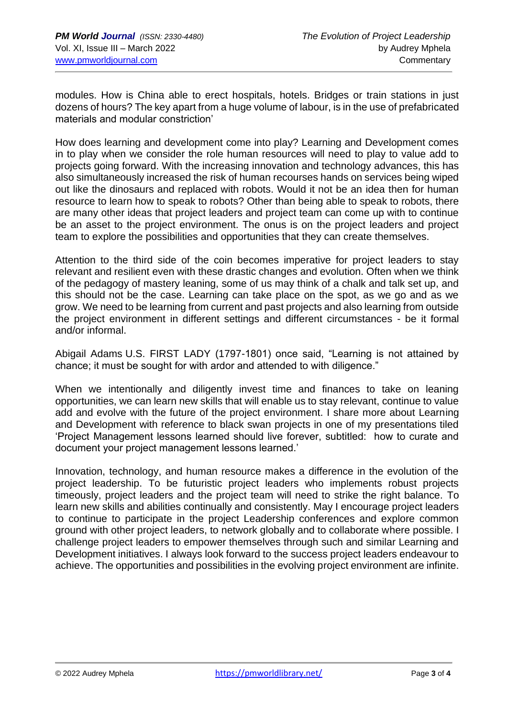modules. How is China able to erect hospitals, hotels. Bridges or train stations in just dozens of hours? The key apart from a huge volume of labour, is in the use of prefabricated materials and modular constriction'

How does learning and development come into play? Learning and Development comes in to play when we consider the role human resources will need to play to value add to projects going forward. With the increasing innovation and technology advances, this has also simultaneously increased the risk of human recourses hands on services being wiped out like the dinosaurs and replaced with robots. Would it not be an idea then for human resource to learn how to speak to robots? Other than being able to speak to robots, there are many other ideas that project leaders and project team can come up with to continue be an asset to the project environment. The onus is on the project leaders and project team to explore the possibilities and opportunities that they can create themselves.

Attention to the third side of the coin becomes imperative for project leaders to stay relevant and resilient even with these drastic changes and evolution. Often when we think of the pedagogy of mastery leaning, some of us may think of a chalk and talk set up, and this should not be the case. Learning can take place on the spot, as we go and as we grow. We need to be learning from current and past projects and also learning from outside the project environment in different settings and different circumstances - be it formal and/or informal.

Abigail Adams U.S. FIRST LADY (1797-1801) once said, "Learning is not attained by chance; it must be sought for with ardor and attended to with diligence."

When we intentionally and diligently invest time and finances to take on leaning opportunities, we can learn new skills that will enable us to stay relevant, continue to value add and evolve with the future of the project environment. I share more about Learning and Development with reference to black swan projects in one of my presentations tiled 'Project Management lessons learned should live forever, subtitled: how to curate and document your project management lessons learned.'

Innovation, technology, and human resource makes a difference in the evolution of the project leadership. To be futuristic project leaders who implements robust projects timeously, project leaders and the project team will need to strike the right balance. To learn new skills and abilities continually and consistently. May I encourage project leaders to continue to participate in the project Leadership conferences and explore common ground with other project leaders, to network globally and to collaborate where possible. I challenge project leaders to empower themselves through such and similar Learning and Development initiatives. I always look forward to the success project leaders endeavour to achieve. The opportunities and possibilities in the evolving project environment are infinite.